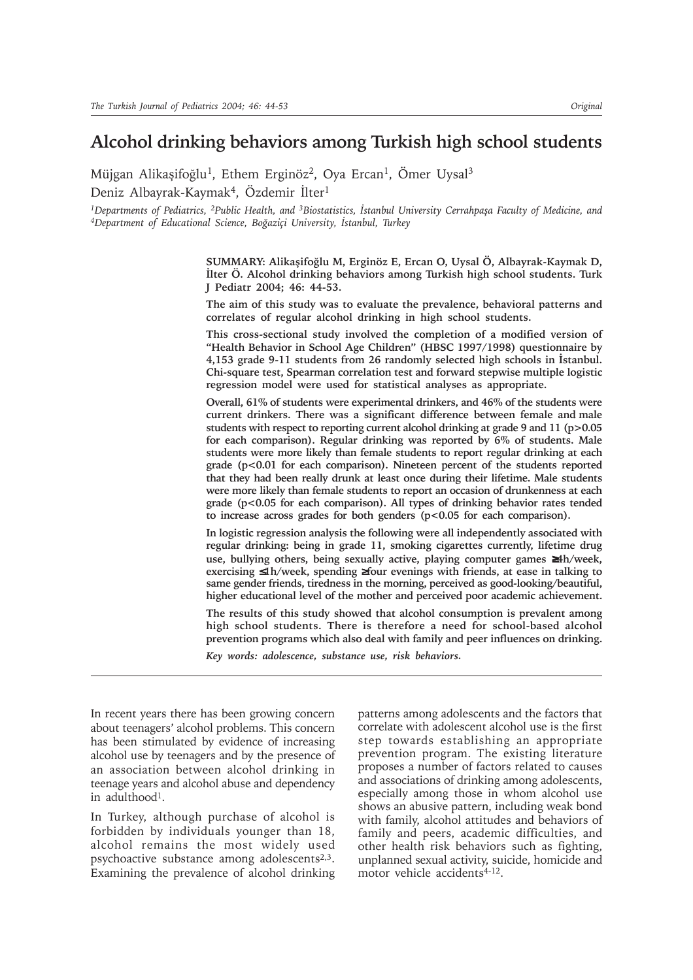# **Alcohol drinking behaviors among Turkish high school students**

Müjgan Alikaşifoğlu<sup>1</sup>, Ethem Erginöz<sup>2</sup>, Oya Ercan<sup>1</sup>, Ömer Uysal<sup>3</sup> Deniz Albayrak-Kaymak<sup>4</sup>, Özdemir İlter<sup>1</sup>

<sup>1</sup>Departments of Pediatrics, <sup>2</sup>Public Health, and <sup>3</sup>Biostatistics, İstanbul University Cerrahpaşa Faculty of Medicine, and <sup>4</sup>Department of Educational Science, Boğaziçi University, İstanbul, Turkey

> **SUMMARY: Alikaþifoðlu M, Erginöz E, Ercan O, Uysal Ö, Albayrak-Kaymak D, Ýlter Ö. Alcohol drinking behaviors among Turkish high school students. Turk J Pediatr 2004; 46: 44-53.**

> **The aim of this study was to evaluate the prevalence, behavioral patterns and correlates of regular alcohol drinking in high school students.**

> **This cross-sectional study involved the completion of a modified version of "Health Behavior in School Age Children" (HBSC 1997/1998) questionnaire by 4,153 grade 9-11 students from 26 randomly selected high schools in Ýstanbul. Chi-square test, Spearman correlation test and forward stepwise multiple logistic regression model were used for statistical analyses as appropriate.**

> **Overall, 61% of students were experimental drinkers, and 46% of the students were current drinkers. There was a significant difference between female and male students with respect to reporting current alcohol drinking at grade 9 and 11 (p>0.05 for each comparison). Regular drinking was reported by 6% of students. Male students were more likely than female students to report regular drinking at each grade (p<0.01 for each comparison). Nineteen percent of the students reported that they had been really drunk at least once during their lifetime. Male students were more likely than female students to report an occasion of drunkenness at each grade (p<0.05 for each comparison). All types of drinking behavior rates tended to increase across grades for both genders (p<0.05 for each comparison).**

> **In logistic regression analysis the following were all independently associated with regular drinking: being in grade 11, smoking cigarettes currently, lifetime drug use, bullying others, being sexually active, playing computer games** ≥**4h/week, exercising** ≤**1h/week, spending** ≥**four evenings with friends, at ease in talking to same gender friends, tiredness in the morning, perceived as good-looking/beautiful, higher educational level of the mother and perceived poor academic achievement.**

> **The results of this study showed that alcohol consumption is prevalent among high school students. There is therefore a need for school-based alcohol prevention programs which also deal with family and peer influences on drinking.**

*Key words: adolescence, substance use, risk behaviors.*

In recent years there has been growing concern about teenagers' alcohol problems. This concern has been stimulated by evidence of increasing alcohol use by teenagers and by the presence of an association between alcohol drinking in teenage years and alcohol abuse and dependency in adulthood1.

In Turkey, although purchase of alcohol is forbidden by individuals younger than 18, alcohol remains the most widely used psychoactive substance among adolescents<sup>2,3</sup>. Examining the prevalence of alcohol drinking patterns among adolescents and the factors that correlate with adolescent alcohol use is the first step towards establishing an appropriate prevention program. The existing literature proposes a number of factors related to causes and associations of drinking among adolescents, especially among those in whom alcohol use shows an abusive pattern, including weak bond with family, alcohol attitudes and behaviors of family and peers, academic difficulties, and other health risk behaviors such as fighting, unplanned sexual activity, suicide, homicide and motor vehicle accidents<sup>4-12</sup>.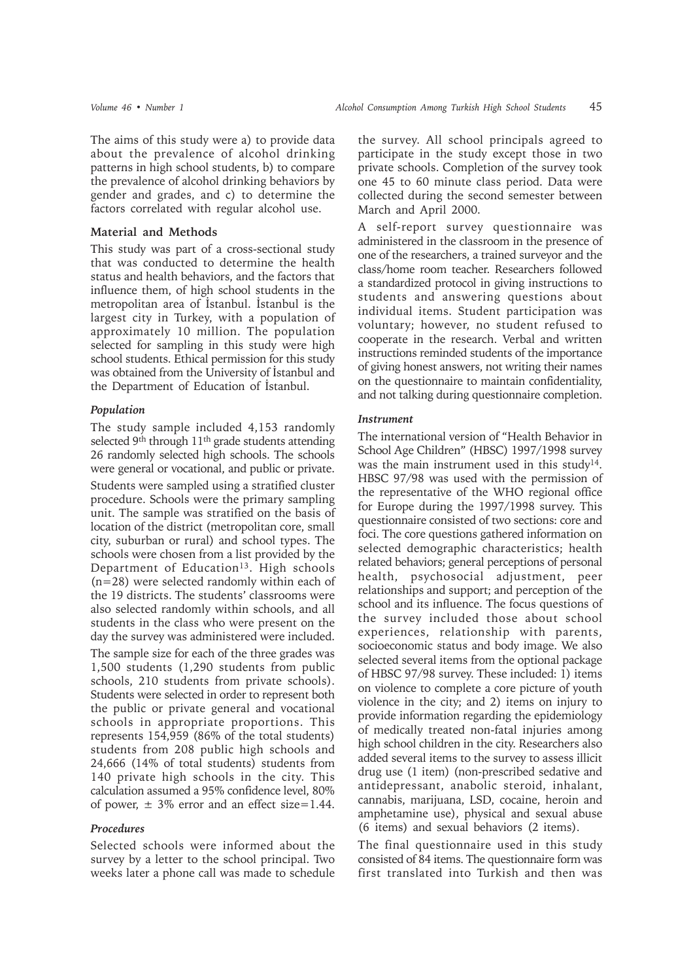The aims of this study were a) to provide data about the prevalence of alcohol drinking patterns in high school students, b) to compare the prevalence of alcohol drinking behaviors by gender and grades, and c) to determine the factors correlated with regular alcohol use.

### **Material and Methods**

This study was part of a cross-sectional study that was conducted to determine the health status and health behaviors, and the factors that influence them, of high school students in the metropolitan area of Istanbul. Istanbul is the largest city in Turkey, with a population of approximately 10 million. The population selected for sampling in this study were high school students. Ethical permission for this study was obtained from the University of İstanbul and the Department of Education of Istanbul.

#### *Population*

The study sample included 4,153 randomly selected 9<sup>th</sup> through 11<sup>th</sup> grade students attending 26 randomly selected high schools. The schools were general or vocational, and public or private.

Students were sampled using a stratified cluster procedure. Schools were the primary sampling unit. The sample was stratified on the basis of location of the district (metropolitan core, small city, suburban or rural) and school types. The schools were chosen from a list provided by the Department of Education<sup>13</sup>. High schools (n=28) were selected randomly within each of the 19 districts. The students' classrooms were also selected randomly within schools, and all students in the class who were present on the day the survey was administered were included.

The sample size for each of the three grades was 1,500 students (1,290 students from public schools, 210 students from private schools). Students were selected in order to represent both the public or private general and vocational schools in appropriate proportions. This represents 154,959 (86% of the total students) students from 208 public high schools and 24,666 (14% of total students) students from 140 private high schools in the city. This calculation assumed a 95% confidence level, 80% of power,  $\pm$  3% error and an effect size=1.44.

#### *Procedures*

Selected schools were informed about the survey by a letter to the school principal. Two weeks later a phone call was made to schedule

the survey. All school principals agreed to participate in the study except those in two private schools. Completion of the survey took one 45 to 60 minute class period. Data were collected during the second semester between March and April 2000.

A self-report survey questionnaire was administered in the classroom in the presence of one of the researchers, a trained surveyor and the class/home room teacher. Researchers followed a standardized protocol in giving instructions to students and answering questions about individual items. Student participation was voluntary; however, no student refused to cooperate in the research. Verbal and written instructions reminded students of the importance of giving honest answers, not writing their names on the questionnaire to maintain confidentiality, and not talking during questionnaire completion.

#### *Instrument*

The international version of "Health Behavior in School Age Children" (HBSC) 1997/1998 survey was the main instrument used in this study<sup>14</sup>. HBSC 97/98 was used with the permission of the representative of the WHO regional office for Europe during the 1997/1998 survey. This questionnaire consisted of two sections: core and foci. The core questions gathered information on selected demographic characteristics; health related behaviors; general perceptions of personal health, psychosocial adjustment, peer relationships and support; and perception of the school and its influence. The focus questions of the survey included those about school experiences, relationship with parents, socioeconomic status and body image. We also selected several items from the optional package of HBSC 97/98 survey. These included: 1) items on violence to complete a core picture of youth violence in the city; and 2) items on injury to provide information regarding the epidemiology of medically treated non-fatal injuries among high school children in the city. Researchers also added several items to the survey to assess illicit drug use (1 item) (non-prescribed sedative and antidepressant, anabolic steroid, inhalant, cannabis, marijuana, LSD, cocaine, heroin and amphetamine use), physical and sexual abuse (6 items) and sexual behaviors (2 items).

The final questionnaire used in this study consisted of 84 items. The questionnaire form was first translated into Turkish and then was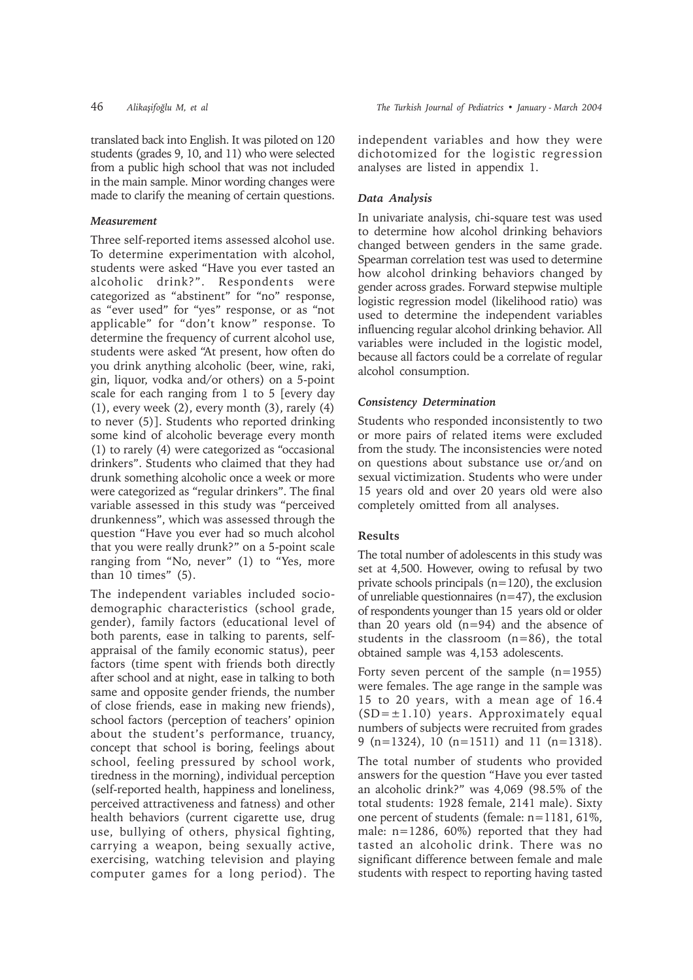translated back into English. It was piloted on 120 students (grades 9, 10, and 11) who were selected from a public high school that was not included in the main sample. Minor wording changes were made to clarify the meaning of certain questions.

# *Measurement*

Three self-reported items assessed alcohol use. To determine experimentation with alcohol, students were asked "Have you ever tasted an alcoholic drink?". Respondents were categorized as "abstinent" for "no" response, as "ever used" for "yes" response, or as "not applicable" for "don't know" response. To determine the frequency of current alcohol use, students were asked "At present, how often do you drink anything alcoholic (beer, wine, raki, gin, liquor, vodka and/or others) on a 5-point scale for each ranging from 1 to 5 [every day (1), every week (2), every month (3), rarely (4) to never (5)]. Students who reported drinking some kind of alcoholic beverage every month (1) to rarely (4) were categorized as "occasional drinkers". Students who claimed that they had drunk something alcoholic once a week or more were categorized as "regular drinkers". The final variable assessed in this study was "perceived drunkenness", which was assessed through the question "Have you ever had so much alcohol that you were really drunk?" on a 5-point scale ranging from "No, never" (1) to "Yes, more than  $10$  times"  $(5)$ .

The independent variables included sociodemographic characteristics (school grade, gender), family factors (educational level of both parents, ease in talking to parents, selfappraisal of the family economic status), peer factors (time spent with friends both directly after school and at night, ease in talking to both same and opposite gender friends, the number of close friends, ease in making new friends), school factors (perception of teachers' opinion about the student's performance, truancy, concept that school is boring, feelings about school, feeling pressured by school work, tiredness in the morning), individual perception (self-reported health, happiness and loneliness, perceived attractiveness and fatness) and other health behaviors (current cigarette use, drug use, bullying of others, physical fighting, carrying a weapon, being sexually active, exercising, watching television and playing computer games for a long period). The

independent variables and how they were dichotomized for the logistic regression analyses are listed in appendix 1.

# *Data Analysis*

In univariate analysis, chi-square test was used to determine how alcohol drinking behaviors changed between genders in the same grade. Spearman correlation test was used to determine how alcohol drinking behaviors changed by gender across grades. Forward stepwise multiple logistic regression model (likelihood ratio) was used to determine the independent variables influencing regular alcohol drinking behavior. All variables were included in the logistic model, because all factors could be a correlate of regular alcohol consumption.

# *Consistency Determination*

Students who responded inconsistently to two or more pairs of related items were excluded from the study. The inconsistencies were noted on questions about substance use or/and on sexual victimization. Students who were under 15 years old and over 20 years old were also completely omitted from all analyses.

### **Results**

The total number of adolescents in this study was set at 4,500. However, owing to refusal by two private schools principals (n=120), the exclusion of unreliable questionnaires  $(n=47)$ , the exclusion of respondents younger than 15 years old or older than 20 years old  $(n=94)$  and the absence of students in the classroom (n=86), the total obtained sample was 4,153 adolescents.

Forty seven percent of the sample (n=1955) were females. The age range in the sample was 15 to 20 years, with a mean age of 16.4  $(SD=\pm 1.10)$  years. Approximately equal numbers of subjects were recruited from grades 9 (n=1324), 10 (n=1511) and 11 (n=1318).

The total number of students who provided answers for the question "Have you ever tasted an alcoholic drink?" was 4,069 (98.5% of the total students: 1928 female, 2141 male). Sixty one percent of students (female: n=1181, 61%, male: n=1286, 60%) reported that they had tasted an alcoholic drink. There was no significant difference between female and male students with respect to reporting having tasted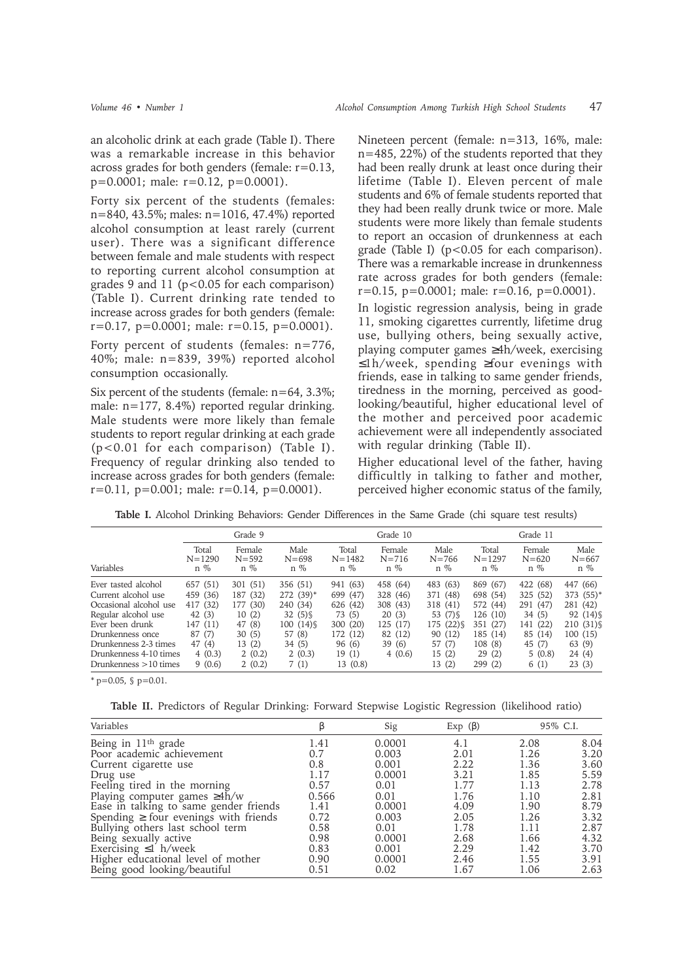an alcoholic drink at each grade (Table I). There was a remarkable increase in this behavior across grades for both genders (female: r=0.13, p=0.0001; male: r=0.12, p=0.0001).

Forty six percent of the students (females: n=840, 43.5%; males: n=1016, 47.4%) reported alcohol consumption at least rarely (current user). There was a significant difference between female and male students with respect to reporting current alcohol consumption at grades 9 and 11 (p<0.05 for each comparison) (Table I). Current drinking rate tended to increase across grades for both genders (female:  $r=0.17$ ,  $p=0.0001$ ; male:  $r=0.15$ ,  $p=0.0001$ ).

Forty percent of students (females: n=776, 40%; male: n=839, 39%) reported alcohol consumption occasionally.

Six percent of the students (female: n=64, 3.3%; male: n=177, 8.4%) reported regular drinking. Male students were more likely than female students to report regular drinking at each grade (p<0.01 for each comparison) (Table I). Frequency of regular drinking also tended to increase across grades for both genders (female:  $r=0.11$ ,  $p=0.001$ ; male:  $r=0.14$ ,  $p=0.0001$ ).

Nineteen percent (female: n=313, 16%, male: n=485, 22%) of the students reported that they had been really drunk at least once during their lifetime (Table I). Eleven percent of male students and 6% of female students reported that they had been really drunk twice or more. Male students were more likely than female students to report an occasion of drunkenness at each grade (Table I) (p<0.05 for each comparison). There was a remarkable increase in drunkenness rate across grades for both genders (female:  $r=0.15$ ,  $p=0.0001$ ; male:  $r=0.16$ ,  $p=0.0001$ ).

In logistic regression analysis, being in grade 11, smoking cigarettes currently, lifetime drug use, bullying others, being sexually active, playing computer games ≥4h/week, exercising ≤1h/week, spending ≥four evenings with friends, ease in talking to same gender friends, tiredness in the morning, perceived as goodlooking/beautiful, higher educational level of the mother and perceived poor academic achievement were all independently associated with regular drinking (Table II).

Higher educational level of the father, having difficultly in talking to father and mother, perceived higher economic status of the family,

**Table I.** Alcohol Drinking Behaviors: Gender Differences in the Same Grade (chi square test results)

|                         |                              | Grade 9                      |                            |                              | Grade 10                     |                            |                              | Grade 11                     |                            |
|-------------------------|------------------------------|------------------------------|----------------------------|------------------------------|------------------------------|----------------------------|------------------------------|------------------------------|----------------------------|
| Variables               | Total<br>$N = 1290$<br>$n\%$ | Female<br>$N = 592$<br>$n\%$ | Male<br>$N = 698$<br>$n\%$ | Total<br>$N = 1482$<br>$n\%$ | Female<br>$N = 716$<br>$n\%$ | Male<br>$N = 766$<br>$n\%$ | Total<br>$N = 1297$<br>$n\%$ | Female<br>$N = 620$<br>$n\%$ | Male<br>$N = 667$<br>$n\%$ |
| Ever tasted alcohol     | 657 (51)                     | 301 (51)                     | 356 (51)                   | 941 (63)                     | 458 (64)                     | 483 (63)                   | 869 (67)                     | 422 (68)                     | 447 (66)                   |
| Current alcohol use     | 459 (36)                     | (32)<br>187                  | $272(39)^*$                | 699 (47)                     | 328 (46)                     | 371 (48)                   | 698 (54)                     | 325 (52)                     | $373(55)*$                 |
| Occasional alcohol use  | 417 (32)                     | 177 (30)                     | 240 (34)                   | 626 (42)                     | 308 (43)                     | 318 (41)                   | 572 (44)                     | 291 (47)                     | 281 (42)                   |
| Regular alcohol use     | 42(3)                        | 10(2)                        | 32(5)                      | 73(5)                        | 20(3)                        | 53 (7) \$                  | 126(10)                      | 34(5)                        | 92 (14) \$                 |
| Ever been drunk         | 147 (11)                     | 47 (8)                       | $100(14)\$                 | 300 (20)                     | 125 (17)                     | 175 (22) \$                | 351 (27)                     | 141 (22)                     | 210 (31) \$                |
| Drunkenness once        | (7)<br>87                    | 30(5)                        | 57 (8)                     | 172 (12)                     | 82 (12)                      | 90 (12)                    | 185 (14)                     | 85 (14)                      | 100(15)                    |
| Drunkenness 2-3 times   | 47 (4)                       | 13(2)                        | 34(5)                      | 96 (6)                       | 39(6)                        | 57 (7)                     | 108 (8)                      | 45 (7)                       | 63 (9)                     |
| Drunkenness 4-10 times  | 4(0.3)                       | 2(0.2)                       | 2(0.3)                     | 19(1)                        | 4(0.6)                       | 15(2)                      | 29(2)                        | 5(0.8)                       | 24(4)                      |
| Drunkenness $>10$ times | 9(0.6)                       | 2(0.2)                       | 7(1)                       | 13 (0.8)                     |                              | 13(2)                      | 299(2)                       | 6 (1)                        | 23(3)                      |

 $*$  p=0.05, § p=0.01.

**Table II.** Predictors of Regular Drinking: Forward Stepwise Logistic Regression (likelihood ratio)

| Variables                                  |       | Sig    | Exp $(\beta)$ | 95% C.I. |      |
|--------------------------------------------|-------|--------|---------------|----------|------|
| Being in 11 <sup>th</sup> grade            | 1.41  | 0.0001 | 4.1           | 2.08     | 8.04 |
| Poor academic achievement                  | 0.7   | 0.003  | 2.01          | 1.26     | 3.20 |
| Current cigarette use                      | 0.8   | 0.001  | 2.22          | 1.36     | 3.60 |
| Drug use                                   | 1.17  | 0.0001 | 3.21          | 1.85     | 5.59 |
| Feeling tired in the morning               | 0.57  | 0.01   | 1.77          | 1.13     | 2.78 |
| Playing computer games $\geq 4h/w$         | 0.566 | 0.01   | 1.76          | 1.10     | 2.81 |
| Ease in talking to same gender friends     | 1.41  | 0.0001 | 4.09          | 1.90     | 8.79 |
| Spending $\geq$ four evenings with friends | 0.72  | 0.003  | 2.05          | 1.26     | 3.32 |
| Bullying others last school term           | 0.58  | 0.01   | 1.78          | 1.11     | 2.87 |
| Being sexually active                      | 0.98  | 0.0001 | 2.68          | 1.66     | 4.32 |
| Exercising $\leq 1$ h/week                 | 0.83  | 0.001  | 2.29          | 1.42     | 3.70 |
| Higher educational level of mother         | 0.90  | 0.0001 | 2.46          | 1.55     | 3.91 |
| Being good looking/beautiful               | 0.51  | 0.02   | 1.67          | 1.06     | 2.63 |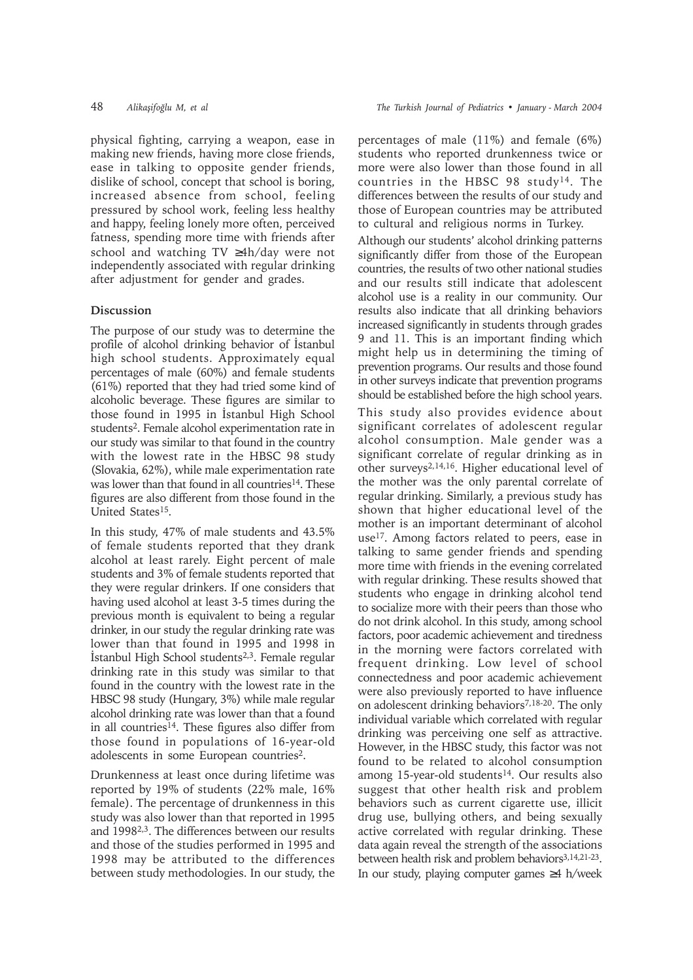physical fighting, carrying a weapon, ease in making new friends, having more close friends, ease in talking to opposite gender friends, dislike of school, concept that school is boring, increased absence from school, feeling pressured by school work, feeling less healthy and happy, feeling lonely more often, perceived fatness, spending more time with friends after school and watching TV ≥4h/day were not independently associated with regular drinking after adjustment for gender and grades.

# **Discussion**

The purpose of our study was to determine the profile of alcohol drinking behavior of İstanbul high school students. Approximately equal percentages of male (60%) and female students (61%) reported that they had tried some kind of alcoholic beverage. These figures are similar to those found in 1995 in Istanbul High School students2. Female alcohol experimentation rate in our study was similar to that found in the country with the lowest rate in the HBSC 98 study (Slovakia, 62%), while male experimentation rate was lower than that found in all countries<sup>14</sup>. These figures are also different from those found in the United States<sup>15</sup>.

In this study, 47% of male students and 43.5% of female students reported that they drank alcohol at least rarely. Eight percent of male students and 3% of female students reported that they were regular drinkers. If one considers that having used alcohol at least 3-5 times during the previous month is equivalent to being a regular drinker, in our study the regular drinking rate was lower than that found in 1995 and 1998 in İstanbul High School students<sup>2,3</sup>. Female regular drinking rate in this study was similar to that found in the country with the lowest rate in the HBSC 98 study (Hungary, 3%) while male regular alcohol drinking rate was lower than that a found in all countries<sup>14</sup>. These figures also differ from those found in populations of 16-year-old adolescents in some European countries<sup>2</sup>.

Drunkenness at least once during lifetime was reported by 19% of students (22% male, 16% female). The percentage of drunkenness in this study was also lower than that reported in 1995 and 19982,3. The differences between our results and those of the studies performed in 1995 and 1998 may be attributed to the differences between study methodologies. In our study, the

percentages of male (11%) and female (6%) students who reported drunkenness twice or more were also lower than those found in all countries in the HBSC 98 study<sup>14</sup>. The differences between the results of our study and those of European countries may be attributed to cultural and religious norms in Turkey.

Although our students' alcohol drinking patterns significantly differ from those of the European countries, the results of two other national studies and our results still indicate that adolescent alcohol use is a reality in our community. Our results also indicate that all drinking behaviors increased significantly in students through grades 9 and 11. This is an important finding which might help us in determining the timing of prevention programs. Our results and those found in other surveys indicate that prevention programs should be established before the high school years.

This study also provides evidence about significant correlates of adolescent regular alcohol consumption. Male gender was a significant correlate of regular drinking as in other surveys2,14,16. Higher educational level of the mother was the only parental correlate of regular drinking. Similarly, a previous study has shown that higher educational level of the mother is an important determinant of alcohol use<sup>17</sup>. Among factors related to peers, ease in talking to same gender friends and spending more time with friends in the evening correlated with regular drinking. These results showed that students who engage in drinking alcohol tend to socialize more with their peers than those who do not drink alcohol. In this study, among school factors, poor academic achievement and tiredness in the morning were factors correlated with frequent drinking. Low level of school connectedness and poor academic achievement were also previously reported to have influence on adolescent drinking behaviors<sup>7,18-20</sup>. The only individual variable which correlated with regular drinking was perceiving one self as attractive. However, in the HBSC study, this factor was not found to be related to alcohol consumption among 15-year-old students<sup>14</sup>. Our results also suggest that other health risk and problem behaviors such as current cigarette use, illicit drug use, bullying others, and being sexually active correlated with regular drinking. These data again reveal the strength of the associations between health risk and problem behaviors<sup>3,14,21-23</sup>. In our study, playing computer games ≥4 h/week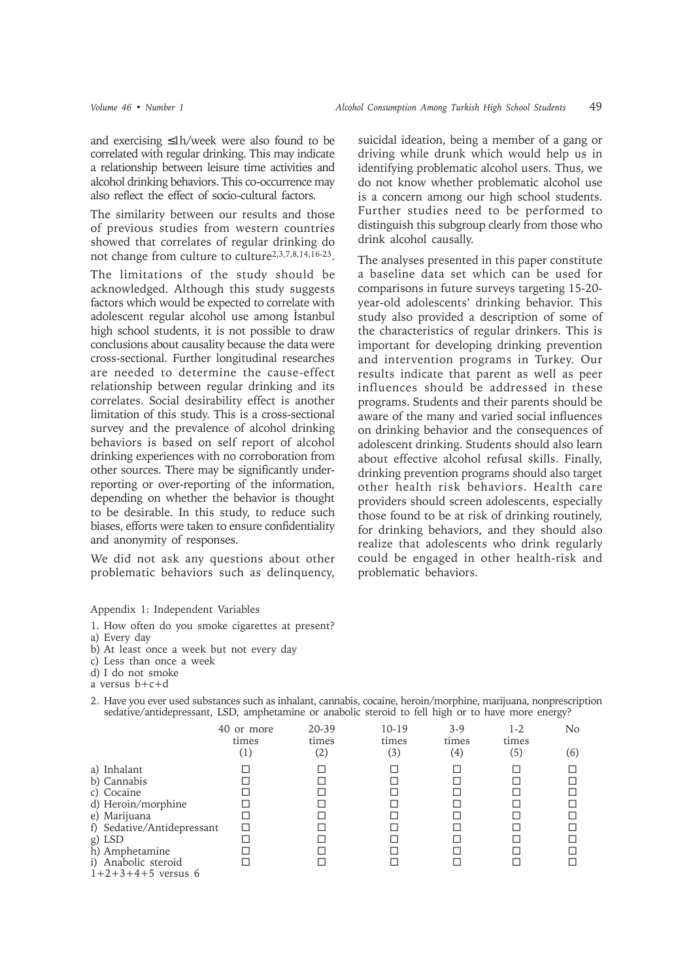and exercising ≤1h/week were also found to be correlated with regular drinking. This may indicate a relationship between leisure time activities and alcohol drinking behaviors. This co-occurrence may also reflect the effect of socio-cultural factors.

The similarity between our results and those of previous studies from western countries showed that correlates of regular drinking do not change from culture to culture<sup>2,3,7,8,14,16-23</sup>.

The limitations of the study should be acknowledged. Although this study suggests factors which would be expected to correlate with adolescent regular alcohol use among Istanbul high school students, it is not possible to draw conclusions about causality because the data were cross-sectional. Further longitudinal researches are needed to determine the cause-effect relationship between regular drinking and its correlates. Social desirability effect is another limitation of this study. This is a cross-sectional survey and the prevalence of alcohol drinking behaviors is based on self report of alcohol drinking experiences with no corroboration from other sources. There may be significantly underreporting or over-reporting of the information, depending on whether the behavior is thought to be desirable. In this study, to reduce such biases, efforts were taken to ensure confidentiality and anonymity of responses.

We did not ask any questions about other problematic behaviors such as delinquency, suicidal ideation, being a member of a gang or driving while drunk which would help us in identifying problematic alcohol users. Thus, we do not know whether problematic alcohol use is a concern among our high school students. Further studies need to be performed to distinguish this subgroup clearly from those who drink alcohol causally.

The analyses presented in this paper constitute a baseline data set which can be used for comparisons in future surveys targeting 15-20 year-old adolescents' drinking behavior. This study also provided a description of some of the characteristics of regular drinkers. This is important for developing drinking prevention and intervention programs in Turkey. Our results indicate that parent as well as peer influences should be addressed in these programs. Students and their parents should be aware of the many and varied social influences on drinking behavior and the consequences of adolescent drinking. Students should also learn about effective alcohol refusal skills. Finally, drinking prevention programs should also target other health risk behaviors. Health care providers should screen adolescents, especially those found to be at risk of drinking routinely, for drinking behaviors, and they should also realize that adolescents who drink regularly could be engaged in other health-risk and problematic behaviors.

#### Appendix 1: Independent Variables

- 1. How often do you smoke cigarettes at present?
- a) Every day
- b) At least once a week but not every day
- c) Less than once a week
- d) I do not smoke
- a versus b+c+d

| sedative/antidepressant, LSD, amphetamine or anabolic steroid to fell high or to have more energy? |            |                            |              |              |              |     |  |
|----------------------------------------------------------------------------------------------------|------------|----------------------------|--------------|--------------|--------------|-----|--|
|                                                                                                    | 40 or more | 20-39                      | $10 - 19$    | 3-9          | 1-2          | No  |  |
|                                                                                                    | times      | times<br>$\left( 2\right)$ | times<br>(3) | times<br>(4) | times<br>(5) | (6) |  |
| a) Inhalant                                                                                        |            |                            |              |              |              |     |  |
| b) Cannabis                                                                                        |            |                            |              |              |              |     |  |
| c) Cocaine                                                                                         |            |                            |              |              |              |     |  |

d) Heroin/morphine e) Marijuana f) Sedative/Antidepressant<br>
g) LSD  $\Box$   $\Box$   $\Box$   $\Box$   $\Box$   $\Box$   $\Box$ g) LSD □ □ □ □ □

2. Have you ever used substances such as inhalant, cannabis, cocaine, heroin/morphine, marijuana, nonprescription sedative/antidepressant, LSD, amphetamine or anabolic steroid to fell high or to have more energy?

| h) Amphetamine<br>i) Anabolic steroid<br>$1+2+3+4+5$ versus 6 |  |  |  |  |  |
|---------------------------------------------------------------|--|--|--|--|--|
|---------------------------------------------------------------|--|--|--|--|--|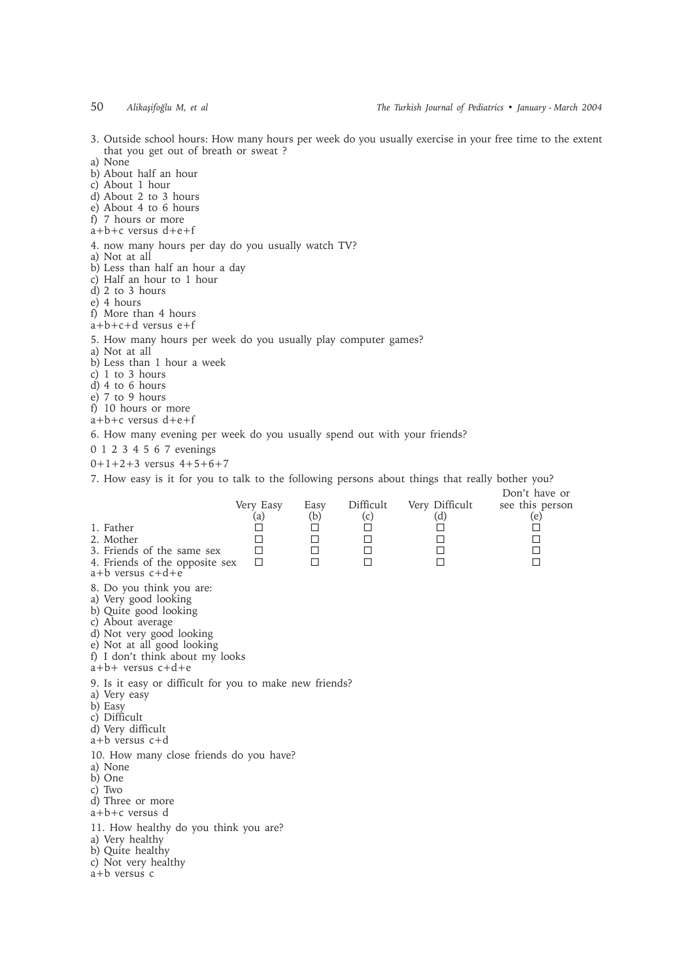3. Outside school hours: How many hours per week do you usually exercise in your free time to the extent that you get out of breath or sweat ?

a) None

- b) About half an hour
- c) About 1 hour
- d) About 2 to 3 hours
- e) About 4 to 6 hours
- f) 7 hours or more
- a+b+c versus d+e+f
- 4. now many hours per day do you usually watch TV?
- a) Not at all
- b) Less than half an hour a day
- c) Half an hour to 1 hour
- d) 2 to 3 hours
- e) 4 hours
- f) More than 4 hours
- $a+b+c+d$  versus  $e+f$

### 5. How many hours per week do you usually play computer games?

- a) Not at all
- b) Less than 1 hour a week
- $c)$  1 to 3 hours
- d) 4 to 6 hours
- e) 7 to 9 hours
- f) 10 hours or more
- a+b+c versus d+e+f

6. How many evening per week do you usually spend out with your friends?

- 0 1 2 3 4 5 6 7 evenings
- 0+1+2+3 versus 4+5+6+7

7. How easy is it for you to talk to the following persons about things that really bother you?

| 1. Father<br>2. Mother<br>3. Friends of the same sex<br>4. Friends of the opposite sex<br>$a+b$ versus $c+d+e$                                                                                                      | Very Easy<br>(a)<br>□<br>□<br>□<br>П | Easy<br>(b)<br>□<br>□<br>□<br>п | Difficult<br>(c)<br>□<br>□<br>□<br>□ | Very Difficult<br>(d)<br>$\Box$<br>□<br>□<br>П | Don't have or<br>see this person<br>(e)<br>$\Box$<br>$\Box$<br>$\Box$<br>$\Box$ |
|---------------------------------------------------------------------------------------------------------------------------------------------------------------------------------------------------------------------|--------------------------------------|---------------------------------|--------------------------------------|------------------------------------------------|---------------------------------------------------------------------------------|
| 8. Do you think you are:<br>a) Very good looking<br>b) Quite good looking<br>c) About average<br>d) Not very good looking<br>e) Not at all good looking<br>f) I don't think about my looks<br>$a+b+$ versus $c+d+e$ |                                      |                                 |                                      |                                                |                                                                                 |
| 9. Is it easy or difficult for you to make new friends?<br>a) Very easy<br>b) Easy<br>c) Difficult<br>d) Very difficult<br>a+b versus c+d                                                                           |                                      |                                 |                                      |                                                |                                                                                 |
| 10. How many close friends do you have?<br>a) None<br>b) One<br>c) Two<br>d) Three or more<br>$a+b+c$ versus d                                                                                                      |                                      |                                 |                                      |                                                |                                                                                 |
| 11. How healthy do you think you are?<br>a) Very healthy<br>b) Quite healthy<br>c) Not very healthy<br>a+b versus c                                                                                                 |                                      |                                 |                                      |                                                |                                                                                 |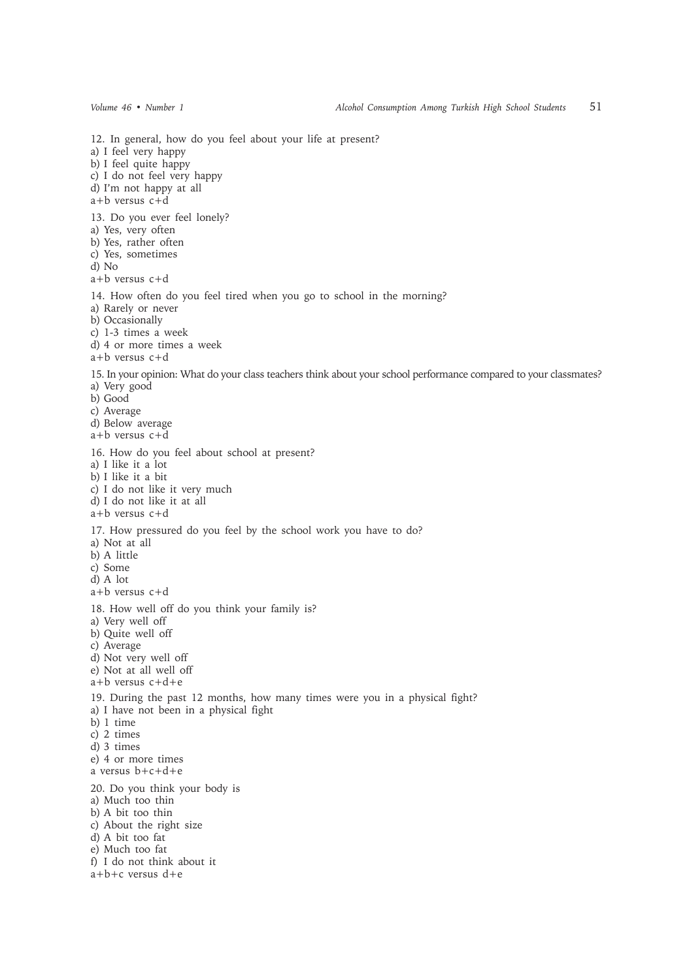12. In general, how do you feel about your life at present? a) I feel very happy b) I feel quite happy c) I do not feel very happy d) I'm not happy at all a+b versus c+d 13. Do you ever feel lonely? a) Yes, very often b) Yes, rather often c) Yes, sometimes d) No a+b versus c+d 14. How often do you feel tired when you go to school in the morning? a) Rarely or never b) Occasionally c) 1-3 times a week d) 4 or more times a week a+b versus c+d 15. In your opinion: What do your class teachers think about your school performance compared to your classmates? a) Very good b) Good c) Average d) Below average a+b versus c+d 16. How do you feel about school at present? a) I like it a lot b) I like it a bit c) I do not like it very much d) I do not like it at all a+b versus c+d 17. How pressured do you feel by the school work you have to do? a) Not at all b) A little c) Some d) A lot a+b versus c+d 18. How well off do you think your family is? a) Very well off b) Quite well off c) Average d) Not very well off e) Not at all well off a+b versus c+d+e 19. During the past 12 months, how many times were you in a physical fight? a) I have not been in a physical fight b) 1 time c) 2 times d) 3 times e) 4 or more times a versus b+c+d+e 20. Do you think your body is a) Much too thin b) A bit too thin c) About the right size d) A bit too fat e) Much too fat f) I do not think about it a+b+c versus d+e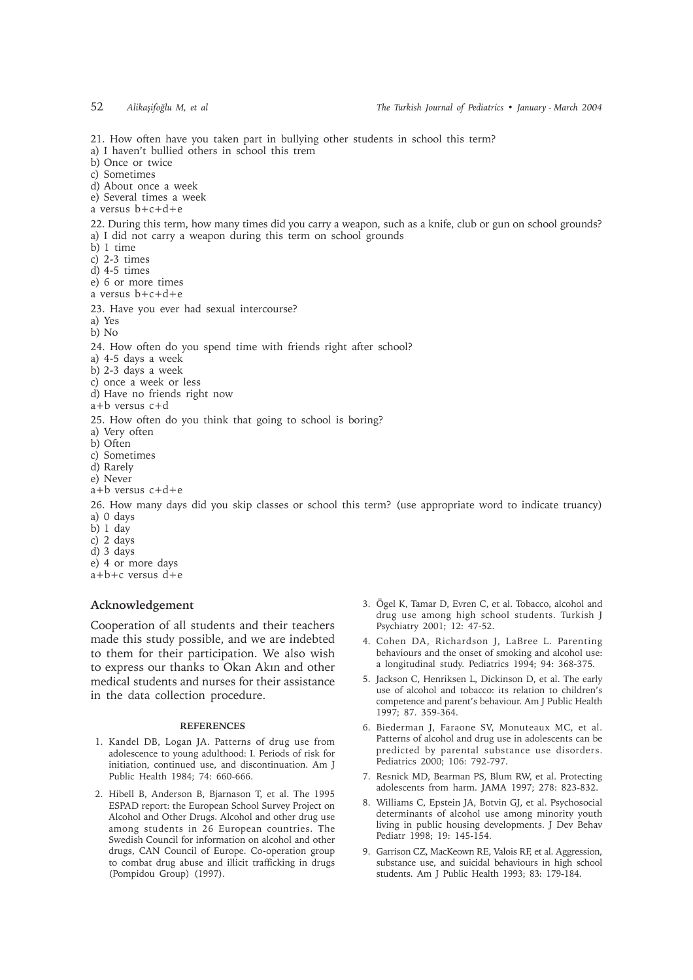21. How often have you taken part in bullying other students in school this term? a) I haven't bullied others in school this trem b) Once or twice c) Sometimes d) About once a week e) Several times a week a versus b+c+d+e 22. During this term, how many times did you carry a weapon, such as a knife, club or gun on school grounds? a) I did not carry a weapon during this term on school grounds b) 1 time c) 2-3 times d) 4-5 times e) 6 or more times a versus b+c+d+e 23. Have you ever had sexual intercourse? a) Yes b) No 24. How often do you spend time with friends right after school? a) 4-5 days a week b) 2-3 days a week c) once a week or less d) Have no friends right now a+b versus c+d 25. How often do you think that going to school is boring? a) Very often b) Often c) Sometimes d) Rarely e) Never a+b versus c+d+e 26. How many days did you skip classes or school this term? (use appropriate word to indicate truancy) a) 0 days b) 1 day c) 2 days d) 3 days e) 4 or more days  $a+b+c$  versus  $d+e$ 

# **Acknowledgement**

Cooperation of all students and their teachers made this study possible, and we are indebted to them for their participation. We also wish to express our thanks to Okan Akin and other medical students and nurses for their assistance in the data collection procedure.

#### **REFERENCES**

- 1. Kandel DB, Logan JA. Patterns of drug use from adolescence to young adulthood: I. Periods of risk for initiation, continued use, and discontinuation. Am J Public Health 1984; 74: 660-666.
- 2. Hibell B, Anderson B, Bjarnason T, et al. The 1995 ESPAD report: the European School Survey Project on Alcohol and Other Drugs. Alcohol and other drug use among students in 26 European countries. The Swedish Council for information on alcohol and other drugs, CAN Council of Europe. Co-operation group to combat drug abuse and illicit trafficking in drugs (Pompidou Group) (1997).
- 3. Ögel K, Tamar D, Evren C, et al. Tobacco, alcohol and drug use among high school students. Turkish J Psychiatry 2001; 12: 47-52.
- 4. Cohen DA, Richardson J, LaBree L. Parenting behaviours and the onset of smoking and alcohol use: a longitudinal study. Pediatrics 1994; 94: 368-375.
- 5. Jackson C, Henriksen L, Dickinson D, et al. The early use of alcohol and tobacco: its relation to children's competence and parent's behaviour. Am J Public Health 1997; 87. 359-364.
- 6. Biederman J, Faraone SV, Monuteaux MC, et al. Patterns of alcohol and drug use in adolescents can be predicted by parental substance use disorders. Pediatrics 2000; 106: 792-797.
- 7. Resnick MD, Bearman PS, Blum RW, et al. Protecting adolescents from harm. JAMA 1997; 278: 823-832.
- 8. Williams C, Epstein JA, Botvin GJ, et al. Psychosocial determinants of alcohol use among minority youth living in public housing developments. J Dev Behav Pediatr 1998; 19: 145-154.
- 9. Garrison CZ, MacKeown RE, Valois RF, et al. Aggression, substance use, and suicidal behaviours in high school students. Am J Public Health 1993; 83: 179-184.